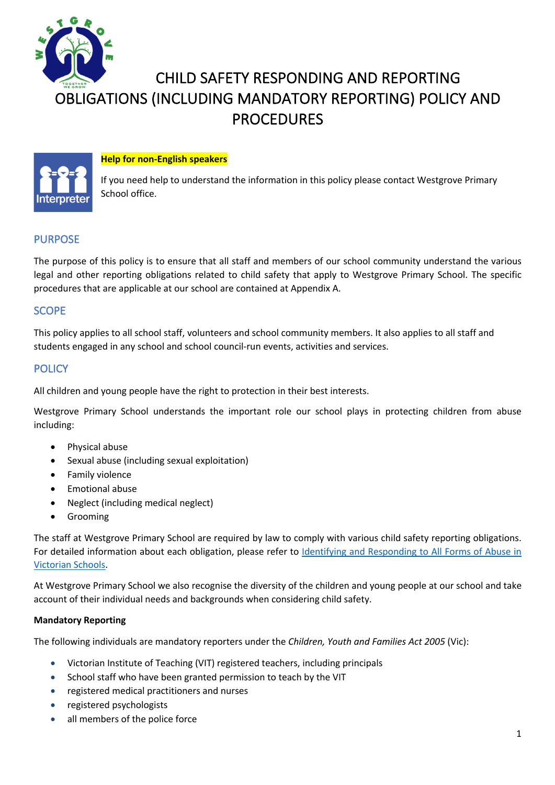

# CHILD SAFETY RESPONDING AND REPORTING OBLIGATIONS (INCLUDING MANDATORY REPORTING) POLICY AND PROCEDURES

## **Help for non-English speakers**



If you need help to understand the information in this policy please contact Westgrove Primary School office.

# PURPOSE

The purpose of this policy is to ensure that all staff and members of our school community understand the various legal and other reporting obligations related to child safety that apply to Westgrove Primary School. The specific procedures that are applicable at our school are contained at Appendix A.

# **SCOPE**

This policy applies to all school staff, volunteers and school community members. It also applies to all staff and students engaged in any school and school council-run events, activities and services.

## **POLICY**

All children and young people have the right to protection in their best interests.

Westgrove Primary School understands the important role our school plays in protecting children from abuse including:

- Physical abuse
- Sexual abuse (including sexual exploitation)
- Family violence
- Emotional abuse
- Neglect (including medical neglect)
- Grooming

The staff at Westgrove Primary School are required by law to comply with various child safety reporting obligations. For detailed information about each obligation, please refer to Identifying and Responding to All Forms of Abuse in Victorian Schools.

At Westgrove Primary School we also recognise the diversity of the children and young people at our school and take account of their individual needs and backgrounds when considering child safety.

#### **Mandatory Reporting**

The following individuals are mandatory reporters under the *Children, Youth and Families Act 2005* (Vic):

- Victorian Institute of Teaching (VIT) registered teachers, including principals
- School staff who have been granted permission to teach by the VIT
- registered medical practitioners and nurses
- registered psychologists
- all members of the police force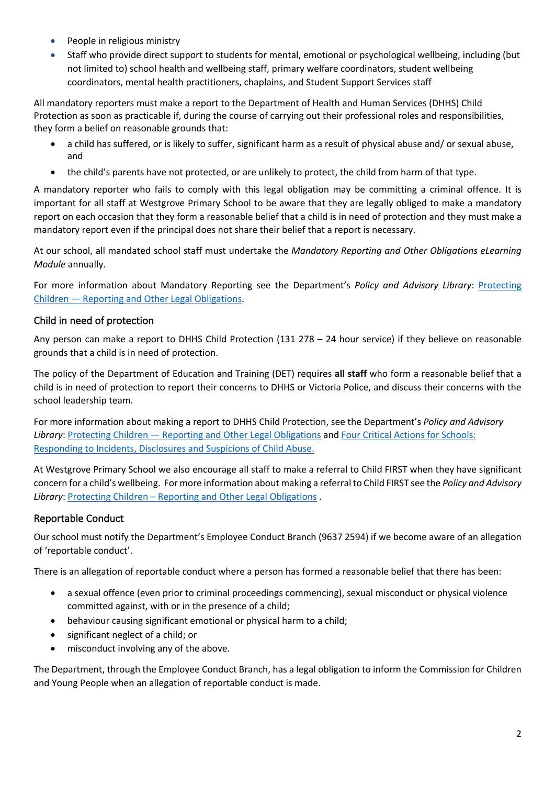- People in religious ministry
- Staff who provide direct support to students for mental, emotional or psychological wellbeing, including (but not limited to) school health and wellbeing staff, primary welfare coordinators, student wellbeing coordinators, mental health practitioners, chaplains, and Student Support Services staff

All mandatory reporters must make a report to the Department of Health and Human Services (DHHS) Child Protection as soon as practicable if, during the course of carrying out their professional roles and responsibilities, they form a belief on reasonable grounds that:

- a child has suffered, or is likely to suffer, significant harm as a result of physical abuse and/ or sexual abuse, and
- the child's parents have not protected, or are unlikely to protect, the child from harm of that type.

A mandatory reporter who fails to comply with this legal obligation may be committing a criminal offence. It is important for all staff at Westgrove Primary School to be aware that they are legally obliged to make a mandatory report on each occasion that they form a reasonable belief that a child is in need of protection and they must make a mandatory report even if the principal does not share their belief that a report is necessary.

At our school, all mandated school staff must undertake the *Mandatory Reporting and Other Obligations eLearning Module* annually.

For more information about Mandatory Reporting see the Department's *Policy and Advisory Library*: Protecting Children — Reporting and Other Legal Obligations.

# Child in need of protection

Any person can make a report to DHHS Child Protection (131 278 – 24 hour service) if they believe on reasonable grounds that a child is in need of protection.

The policy of the Department of Education and Training (DET) requires **all staff** who form a reasonable belief that a child is in need of protection to report their concerns to DHHS or Victoria Police, and discuss their concerns with the school leadership team.

For more information about making a report to DHHS Child Protection, see the Department's *Policy and Advisory Library*: Protecting Children — Reporting and Other Legal Obligations and Four Critical Actions for Schools: Responding to Incidents, Disclosures and Suspicions of Child Abuse.

At Westgrove Primary School we also encourage all staff to make a referral to Child FIRST when they have significant concern for a child's wellbeing. For more information about making a referral to Child FIRST see the *Policy and Advisory Library*: Protecting Children – Reporting and Other Legal Obligations .

# Reportable Conduct

Our school must notify the Department's Employee Conduct Branch (9637 2594) if we become aware of an allegation of 'reportable conduct'.

There is an allegation of reportable conduct where a person has formed a reasonable belief that there has been:

- a sexual offence (even prior to criminal proceedings commencing), sexual misconduct or physical violence committed against, with or in the presence of a child;
- behaviour causing significant emotional or physical harm to a child;
- significant neglect of a child; or
- misconduct involving any of the above.

The Department, through the Employee Conduct Branch, has a legal obligation to inform the Commission for Children and Young People when an allegation of reportable conduct is made.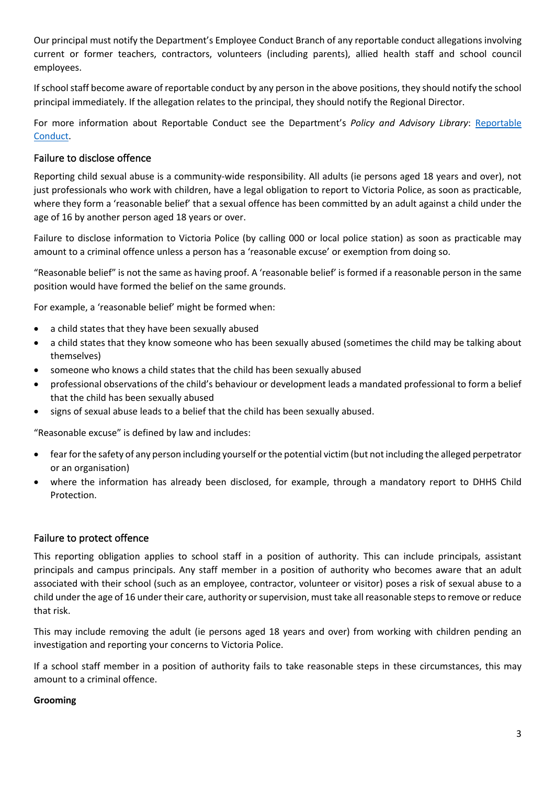Our principal must notify the Department's Employee Conduct Branch of any reportable conduct allegations involving current or former teachers, contractors, volunteers (including parents), allied health staff and school council employees.

If school staff become aware of reportable conduct by any person in the above positions, they should notify the school principal immediately. If the allegation relates to the principal, they should notify the Regional Director.

For more information about Reportable Conduct see the Department's *Policy and Advisory Library*: Reportable Conduct.

## Failure to disclose offence

Reporting child sexual abuse is a community-wide responsibility. All adults (ie persons aged 18 years and over), not just professionals who work with children, have a legal obligation to report to Victoria Police, as soon as practicable, where they form a 'reasonable belief' that a sexual offence has been committed by an adult against a child under the age of 16 by another person aged 18 years or over.

Failure to disclose information to Victoria Police (by calling 000 or local police station) as soon as practicable may amount to a criminal offence unless a person has a 'reasonable excuse' or exemption from doing so.

"Reasonable belief" is not the same as having proof. A 'reasonable belief' is formed if a reasonable person in the same position would have formed the belief on the same grounds.

For example, a 'reasonable belief' might be formed when:

- a child states that they have been sexually abused
- a child states that they know someone who has been sexually abused (sometimes the child may be talking about themselves)
- someone who knows a child states that the child has been sexually abused
- professional observations of the child's behaviour or development leads a mandated professional to form a belief that the child has been sexually abused
- signs of sexual abuse leads to a belief that the child has been sexually abused.

"Reasonable excuse" is defined by law and includes:

- fear for the safety of any person including yourself or the potential victim (but not including the alleged perpetrator or an organisation)
- where the information has already been disclosed, for example, through a mandatory report to DHHS Child Protection.

### Failure to protect offence

This reporting obligation applies to school staff in a position of authority. This can include principals, assistant principals and campus principals. Any staff member in a position of authority who becomes aware that an adult associated with their school (such as an employee, contractor, volunteer or visitor) poses a risk of sexual abuse to a child under the age of 16 under their care, authority or supervision, must take all reasonable steps to remove or reduce that risk.

This may include removing the adult (ie persons aged 18 years and over) from working with children pending an investigation and reporting your concerns to Victoria Police.

If a school staff member in a position of authority fails to take reasonable steps in these circumstances, this may amount to a criminal offence.

#### **Grooming**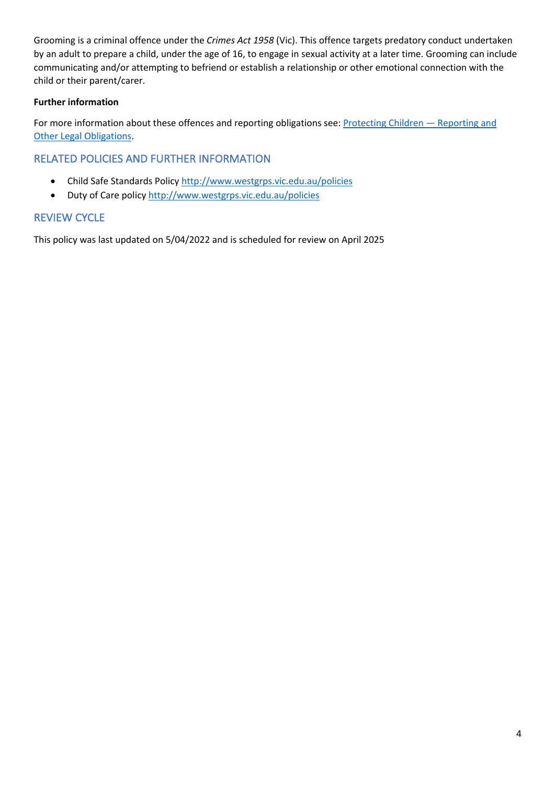Grooming is a criminal offence under the *Crimes Act 1958* (Vic). This offence targets predatory conduct undertaken by an adult to prepare a child, under the age of 16, to engage in sexual activity at a later time. Grooming can include communicating and/or attempting to befriend or establish a relationship or other emotional connection with the child or their parent/carer.

## **Further information**

For more information about these offences and reporting obligations see: Protecting Children - Reporting and Other Legal Obligations.

# RELATED POLICIES AND FURTHER INFORMATION

- Child Safe Standards Policy http://www.westgrps.vic.edu.au/policies
- Duty of Care policy http://www.westgrps.vic.edu.au/policies

# REVIEW CYCLE

This policy was last updated on 5/04/2022 and is scheduled for review on April 2025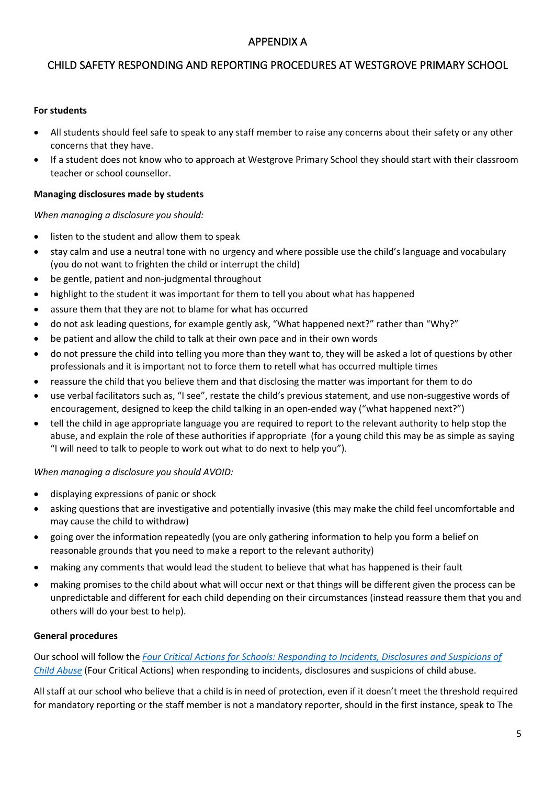# APPENDIX A

# CHILD SAFETY RESPONDING AND REPORTING PROCEDURES AT WESTGROVE PRIMARY SCHOOL

#### **For students**

- All students should feel safe to speak to any staff member to raise any concerns about their safety or any other concerns that they have.
- If a student does not know who to approach at Westgrove Primary School they should start with their classroom teacher or school counsellor.

#### **Managing disclosures made by students**

#### *When managing a disclosure you should:*

- listen to the student and allow them to speak
- stay calm and use a neutral tone with no urgency and where possible use the child's language and vocabulary (you do not want to frighten the child or interrupt the child)
- be gentle, patient and non-judgmental throughout
- highlight to the student it was important for them to tell you about what has happened
- assure them that they are not to blame for what has occurred
- do not ask leading questions, for example gently ask, "What happened next?" rather than "Why?"
- be patient and allow the child to talk at their own pace and in their own words
- do not pressure the child into telling you more than they want to, they will be asked a lot of questions by other professionals and it is important not to force them to retell what has occurred multiple times
- reassure the child that you believe them and that disclosing the matter was important for them to do
- use verbal facilitators such as, "I see", restate the child's previous statement, and use non-suggestive words of encouragement, designed to keep the child talking in an open-ended way ("what happened next?")
- tell the child in age appropriate language you are required to report to the relevant authority to help stop the abuse, and explain the role of these authorities if appropriate (for a young child this may be as simple as saying "I will need to talk to people to work out what to do next to help you").

#### *When managing a disclosure you should AVOID:*

- displaying expressions of panic or shock
- asking questions that are investigative and potentially invasive (this may make the child feel uncomfortable and may cause the child to withdraw)
- going over the information repeatedly (you are only gathering information to help you form a belief on reasonable grounds that you need to make a report to the relevant authority)
- making any comments that would lead the student to believe that what has happened is their fault
- making promises to the child about what will occur next or that things will be different given the process can be unpredictable and different for each child depending on their circumstances (instead reassure them that you and others will do your best to help).

#### **General procedures**

Our school will follow the *Four Critical Actions for Schools: Responding to Incidents, Disclosures and Suspicions of Child Abuse* (Four Critical Actions) when responding to incidents, disclosures and suspicions of child abuse.

All staff at our school who believe that a child is in need of protection, even if it doesn't meet the threshold required for mandatory reporting or the staff member is not a mandatory reporter, should in the first instance, speak to The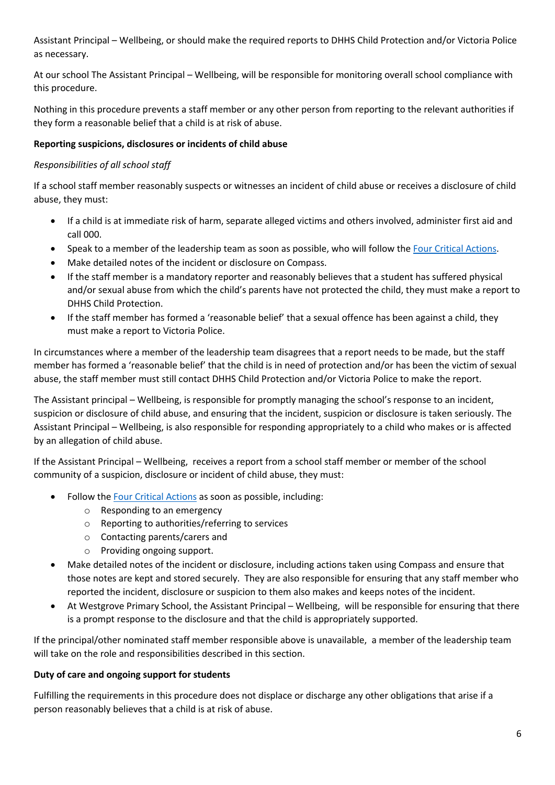Assistant Principal – Wellbeing, or should make the required reports to DHHS Child Protection and/or Victoria Police as necessary.

At our school The Assistant Principal – Wellbeing, will be responsible for monitoring overall school compliance with this procedure.

Nothing in this procedure prevents a staff member or any other person from reporting to the relevant authorities if they form a reasonable belief that a child is at risk of abuse.

## **Reporting suspicions, disclosures or incidents of child abuse**

## *Responsibilities of all school staff*

If a school staff member reasonably suspects or witnesses an incident of child abuse or receives a disclosure of child abuse, they must:

- If a child is at immediate risk of harm, separate alleged victims and others involved, administer first aid and call 000.
- Speak to a member of the leadership team as soon as possible, who will follow the Four Critical Actions.
- Make detailed notes of the incident or disclosure on Compass.
- If the staff member is a mandatory reporter and reasonably believes that a student has suffered physical and/or sexual abuse from which the child's parents have not protected the child, they must make a report to DHHS Child Protection.
- If the staff member has formed a 'reasonable belief' that a sexual offence has been against a child, they must make a report to Victoria Police.

In circumstances where a member of the leadership team disagrees that a report needs to be made, but the staff member has formed a 'reasonable belief' that the child is in need of protection and/or has been the victim of sexual abuse, the staff member must still contact DHHS Child Protection and/or Victoria Police to make the report.

The Assistant principal – Wellbeing, is responsible for promptly managing the school's response to an incident, suspicion or disclosure of child abuse, and ensuring that the incident, suspicion or disclosure is taken seriously. The Assistant Principal – Wellbeing, is also responsible for responding appropriately to a child who makes or is affected by an allegation of child abuse.

If the Assistant Principal – Wellbeing, receives a report from a school staff member or member of the school community of a suspicion, disclosure or incident of child abuse, they must:

- Follow the Four Critical Actions as soon as possible, including:
	- o Responding to an emergency
	- o Reporting to authorities/referring to services
	- o Contacting parents/carers and
	- o Providing ongoing support.
- Make detailed notes of the incident or disclosure, including actions taken using Compass and ensure that those notes are kept and stored securely. They are also responsible for ensuring that any staff member who reported the incident, disclosure or suspicion to them also makes and keeps notes of the incident.
- At Westgrove Primary School, the Assistant Principal Wellbeing, will be responsible for ensuring that there is a prompt response to the disclosure and that the child is appropriately supported.

If the principal/other nominated staff member responsible above is unavailable, a member of the leadership team will take on the role and responsibilities described in this section.

### **Duty of care and ongoing support for students**

Fulfilling the requirements in this procedure does not displace or discharge any other obligations that arise if a person reasonably believes that a child is at risk of abuse.